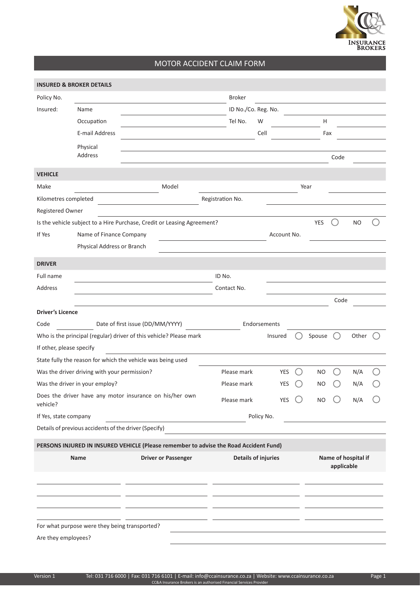

## MOTOR ACCIDENT CLAIM FORM

|                                                       | <b>INSURED &amp; BROKER DETAILS</b>                                                   |                                  |                            |               |                            |              |            |  |            |                     |           |  |
|-------------------------------------------------------|---------------------------------------------------------------------------------------|----------------------------------|----------------------------|---------------|----------------------------|--------------|------------|--|------------|---------------------|-----------|--|
| Policy No.                                            |                                                                                       |                                  |                            | <b>Broker</b> |                            |              |            |  |            |                     |           |  |
| Insured:                                              | Name                                                                                  |                                  |                            |               | ID No./Co. Reg. No.        |              |            |  |            |                     |           |  |
|                                                       | Occupation                                                                            |                                  |                            | Tel No.       |                            | W            |            |  | Н          |                     |           |  |
|                                                       | E-mail Address                                                                        |                                  |                            |               |                            | Cell         |            |  | Fax        |                     |           |  |
|                                                       | Physical                                                                              |                                  |                            |               |                            |              |            |  |            |                     |           |  |
|                                                       | Address                                                                               |                                  |                            |               |                            |              |            |  |            | Code                |           |  |
| <b>VEHICLE</b>                                        |                                                                                       |                                  |                            |               |                            |              |            |  |            |                     |           |  |
| Make                                                  |                                                                                       |                                  | Model                      |               |                            |              |            |  | Year       |                     |           |  |
| Kilometres completed<br>Registration No.              |                                                                                       |                                  |                            |               |                            |              |            |  |            |                     |           |  |
| Registered Owner                                      |                                                                                       |                                  |                            |               |                            |              |            |  |            |                     |           |  |
|                                                       | Is the vehicle subject to a Hire Purchase, Credit or Leasing Agreement?               |                                  |                            |               |                            |              |            |  | <b>YES</b> |                     | <b>NO</b> |  |
| If Yes                                                | Name of Finance Company                                                               |                                  |                            |               | Account No.                |              |            |  |            |                     |           |  |
|                                                       | Physical Address or Branch                                                            |                                  |                            |               |                            |              |            |  |            |                     |           |  |
| <b>DRIVER</b>                                         |                                                                                       |                                  |                            |               |                            |              |            |  |            |                     |           |  |
| Full name                                             |                                                                                       |                                  |                            | ID No.        |                            |              |            |  |            |                     |           |  |
| Address                                               |                                                                                       |                                  |                            | Contact No.   |                            |              |            |  |            |                     |           |  |
|                                                       |                                                                                       |                                  |                            |               |                            |              |            |  |            | Code                |           |  |
| <b>Driver's Licence</b>                               |                                                                                       |                                  |                            |               |                            |              |            |  |            |                     |           |  |
| Code                                                  |                                                                                       | Date of first issue (DD/MM/YYYY) |                            |               |                            | Endorsements |            |  |            |                     |           |  |
|                                                       | Who is the principal (regular) driver of this vehicle? Please mark                    |                                  |                            |               |                            |              | Insured    |  | Spouse     |                     | Other     |  |
| If other, please specify                              |                                                                                       |                                  |                            |               |                            |              |            |  |            |                     |           |  |
|                                                       | State fully the reason for which the vehicle was being used                           |                                  |                            |               |                            |              |            |  |            |                     |           |  |
|                                                       | Was the driver driving with your permission?                                          |                                  |                            | Please mark   |                            |              | YES        |  | NO         |                     | N/A       |  |
|                                                       | Was the driver in your employ?                                                        |                                  |                            | Please mark   |                            |              | YES        |  | ΝO         |                     | N/A       |  |
| vehicle?                                              | Does the driver have any motor insurance on his/her own                               |                                  |                            | Please mark   |                            |              | <b>YES</b> |  | <b>NO</b>  |                     | N/A       |  |
| If Yes, state company                                 |                                                                                       |                                  |                            | Policy No.    |                            |              |            |  |            |                     |           |  |
| Details of previous accidents of the driver (Specify) |                                                                                       |                                  |                            |               |                            |              |            |  |            |                     |           |  |
|                                                       | PERSONS INJURED IN INSURED VEHICLE (Please remember to advise the Road Accident Fund) |                                  |                            |               |                            |              |            |  |            |                     |           |  |
|                                                       | Name                                                                                  |                                  | <b>Driver or Passenger</b> |               | <b>Details of injuries</b> |              |            |  |            | Name of hospital if |           |  |
|                                                       |                                                                                       |                                  |                            |               |                            |              |            |  |            | applicable          |           |  |
|                                                       |                                                                                       |                                  |                            |               |                            |              |            |  |            |                     |           |  |
|                                                       |                                                                                       |                                  |                            |               |                            |              |            |  |            |                     |           |  |
|                                                       |                                                                                       |                                  |                            |               |                            |              |            |  |            |                     |           |  |
|                                                       |                                                                                       |                                  |                            |               |                            |              |            |  |            |                     |           |  |
|                                                       | For what purpose were they being transported?                                         |                                  |                            |               |                            |              |            |  |            |                     |           |  |
| Are they employees?                                   |                                                                                       |                                  |                            |               |                            |              |            |  |            |                     |           |  |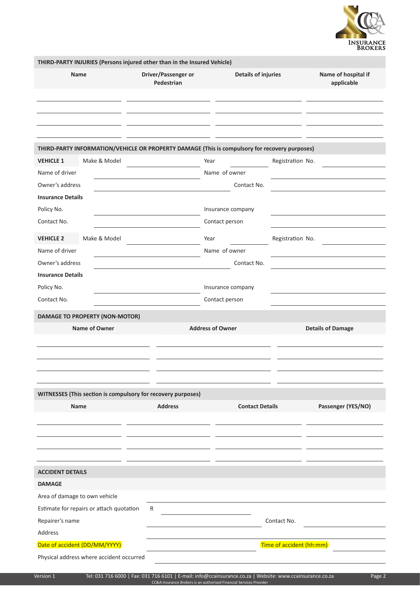

| THIRD-PARTY INJURIES (Persons injured other than in the Insured Vehicle)                      |                                   |                            |                                 |                                   |  |  |
|-----------------------------------------------------------------------------------------------|-----------------------------------|----------------------------|---------------------------------|-----------------------------------|--|--|
| Name                                                                                          | Driver/Passenger or<br>Pedestrian | <b>Details of injuries</b> |                                 | Name of hospital if<br>applicable |  |  |
| THIRD-PARTY INFORMATION/VEHICLE OR PROPERTY DAMAGE (This is compulsory for recovery purposes) |                                   |                            |                                 |                                   |  |  |
| <b>VEHICLE 1</b><br>Make & Model                                                              |                                   | Year                       | Registration No.                |                                   |  |  |
| Name of driver                                                                                |                                   | Name of owner              |                                 |                                   |  |  |
| Owner's address                                                                               | Contact No.                       |                            |                                 |                                   |  |  |
| <b>Insurance Details</b>                                                                      |                                   |                            |                                 |                                   |  |  |
| Policy No.                                                                                    |                                   | Insurance company          |                                 |                                   |  |  |
| Contact No.                                                                                   |                                   | Contact person             |                                 |                                   |  |  |
| Make & Model<br><b>VEHICLE 2</b>                                                              |                                   | Year                       | Registration No.                |                                   |  |  |
| Name of driver                                                                                |                                   | Name of owner              |                                 |                                   |  |  |
| Owner's address                                                                               |                                   | Contact No.                |                                 |                                   |  |  |
| <b>Insurance Details</b>                                                                      |                                   |                            |                                 |                                   |  |  |
| Policy No.                                                                                    |                                   | Insurance company          |                                 |                                   |  |  |
| Contact No.                                                                                   |                                   | Contact person             |                                 |                                   |  |  |
| <b>DAMAGE TO PROPERTY (NON-MOTOR)</b>                                                         |                                   |                            |                                 |                                   |  |  |
| Name of Owner                                                                                 |                                   | <b>Address of Owner</b>    |                                 | <b>Details of Damage</b>          |  |  |
|                                                                                               |                                   |                            |                                 |                                   |  |  |
|                                                                                               |                                   |                            |                                 |                                   |  |  |
|                                                                                               |                                   |                            |                                 |                                   |  |  |
|                                                                                               |                                   |                            |                                 |                                   |  |  |
| WITNESSES (This section is compulsory for recovery purposes)                                  |                                   |                            |                                 |                                   |  |  |
| Name                                                                                          | <b>Address</b>                    | <b>Contact Details</b>     |                                 | Passenger (YES/NO)                |  |  |
|                                                                                               |                                   |                            |                                 |                                   |  |  |
|                                                                                               |                                   |                            |                                 |                                   |  |  |
|                                                                                               |                                   |                            |                                 |                                   |  |  |
|                                                                                               |                                   |                            |                                 |                                   |  |  |
| <b>ACCIDENT DETAILS</b>                                                                       |                                   |                            |                                 |                                   |  |  |
| <b>DAMAGE</b>                                                                                 |                                   |                            |                                 |                                   |  |  |
| Area of damage to own vehicle                                                                 |                                   |                            |                                 |                                   |  |  |
| Estimate for repairs or attach quotation                                                      | R                                 |                            |                                 |                                   |  |  |
| Repairer's name                                                                               |                                   |                            | Contact No.                     |                                   |  |  |
| Address                                                                                       |                                   |                            |                                 |                                   |  |  |
| Date of accident (DD/MM/YYYY)                                                                 |                                   |                            | <b>Time of accident (hh:mm)</b> |                                   |  |  |
| Physical address where accident occurred                                                      |                                   |                            |                                 |                                   |  |  |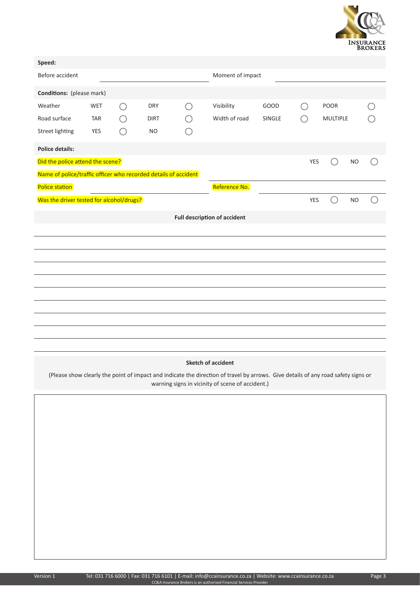

| Speed:                                                          |            |        |             |         |                  |        |                                               |                 |           |  |  |  |
|-----------------------------------------------------------------|------------|--------|-------------|---------|------------------|--------|-----------------------------------------------|-----------------|-----------|--|--|--|
| Before accident                                                 |            |        |             |         | Moment of impact |        |                                               |                 |           |  |  |  |
| Conditions: (please mark)                                       |            |        |             |         |                  |        |                                               |                 |           |  |  |  |
| Weather                                                         | <b>WET</b> | $(\ )$ | <b>DRY</b>  | $( \ )$ | Visibility       | GOOD   | $\left( \begin{array}{c} \end{array} \right)$ | POOR            |           |  |  |  |
| Road surface                                                    | <b>TAR</b> |        | <b>DIRT</b> |         | Width of road    | SINGLE | ○                                             | <b>MULTIPLE</b> |           |  |  |  |
| <b>Street lighting</b>                                          | <b>YES</b> |        | <b>NO</b>   |         |                  |        |                                               |                 |           |  |  |  |
| <b>Police details:</b>                                          |            |        |             |         |                  |        |                                               |                 |           |  |  |  |
| Did the police attend the scene?                                |            |        |             |         |                  |        | YES                                           | ( )             | <b>NO</b> |  |  |  |
| Name of police/traffic officer who recorded details of accident |            |        |             |         |                  |        |                                               |                 |           |  |  |  |
| Police station                                                  |            |        |             |         | Reference No.    |        |                                               |                 |           |  |  |  |
| Was the driver tested for alcohol/drugs?                        |            |        |             |         |                  |        | <b>YES</b>                                    | ( )             | <b>NO</b> |  |  |  |
| <b>Full description of accident</b>                             |            |        |             |         |                  |        |                                               |                 |           |  |  |  |
|                                                                 |            |        |             |         |                  |        |                                               |                 |           |  |  |  |
|                                                                 |            |        |             |         |                  |        |                                               |                 |           |  |  |  |
|                                                                 |            |        |             |         |                  |        |                                               |                 |           |  |  |  |
|                                                                 |            |        |             |         |                  |        |                                               |                 |           |  |  |  |
|                                                                 |            |        |             |         |                  |        |                                               |                 |           |  |  |  |
|                                                                 |            |        |             |         |                  |        |                                               |                 |           |  |  |  |
|                                                                 |            |        |             |         |                  |        |                                               |                 |           |  |  |  |
|                                                                 |            |        |             |         |                  |        |                                               |                 |           |  |  |  |
|                                                                 |            |        |             |         |                  |        |                                               |                 |           |  |  |  |
|                                                                 |            |        |             |         |                  |        |                                               |                 |           |  |  |  |
| <b>Sketch of accident</b>                                       |            |        |             |         |                  |        |                                               |                 |           |  |  |  |

(Please show clearly the point of impact and indicate the direction of travel by arrows. Give details of any road safety signs or warning signs in vicinity of scene of accident.)